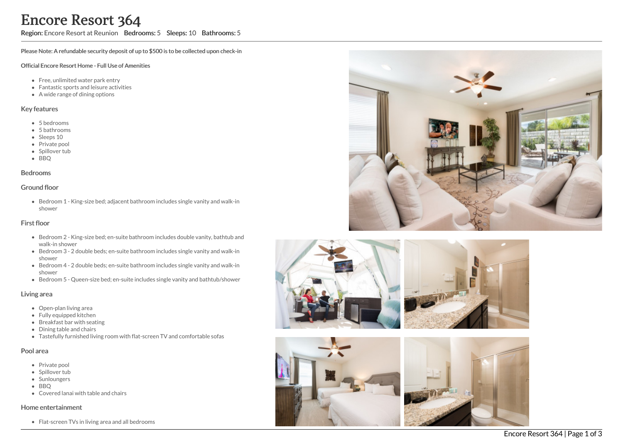Region: Encore Resort at Reunion Bedrooms: 5 Sleeps: 10 Bathrooms: 5

Please Note: A refundable security deposit of up to \$500 is to be collected upon check-in

#### Official Encore Resort Home - Full Use of Amenities

- Free, unlimited water park entry
- Fantastic sports and leisure activities
- A wide range of dining options

### Key features

- 5 b e d r o o m s
- 5 bathrooms
- Sleeps 10
- Private pool
- Spillover tub
- BBQ

### **Bedrooms**

### Ground floor

Bedroom 1 - King-size bed; adjacent bathroom includes single vanity and walk-in s h o w e r

## First floor

- Bedroom 2 King-size bed; en-suite bathroom includes double vanity, bathtub and walk-in shower
- Bedroom 3 2 double beds; en-suite bathroom includes single vanity and walk-in s h o w e r
- Bedroom 4 2 double beds; en-suite bathroom includes single vanity and walk-in s h o w e r
- Bedroom 5 Queen-size bed; en-suite includes single vanity and bathtub/shower

## Living area

- Open-plan living area
- Fully equipped kitchen
- Breakfast bar with seating
- Dining table and chairs
- Tastefully furnished living room with flat-screen TV and comfortable sofas

## Pool area

- Private pool
- Spillover tub
- Sunloungers
- BBQ
- Covered lanai with table and chairs

## Home entertainment

Flat-screen TVs in living area and all bedrooms









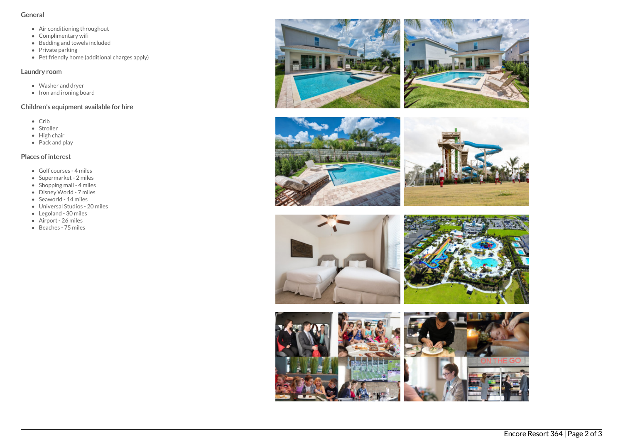## General

- Air conditioning throughout
- Complimentary wifi
- Bedding and towels included
- Private parking
- Pet friendly home (additional charges apply)

## Laundry room

- Washer and dryer
- Iron and ironing board

# Children's equipment available for hire

- Crib
- Stroller
- $\bullet$  High chair
- $\bullet$  Pack and play

# Places of interest

- Golf courses 4 miles
- Supermarket 2 miles
- Shopping mall 4 miles
- Disney World 7 miles
- Seaworld 14 miles
- Universal Studios 20 miles
- Legoland 30 miles
- Airport 26 miles
- Beaches 75 miles